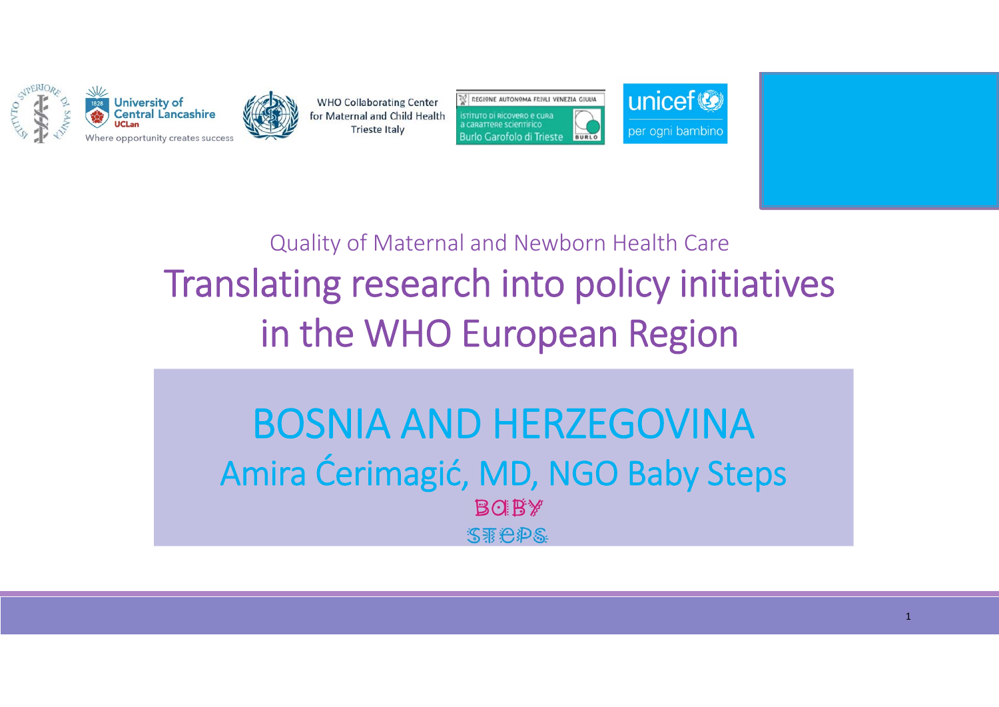



**REGIONE AUTONOMA FRIVLI VENEZIA GIULIA** TÍTUTO DI RICOVERO E CURA **CARATTERE SCIENTIFICO Burlo Garofolo di Trieste** BURLO



Quality of Maternal and Newborn Health Care Translating research into policy initiatives in the WHO European Region

BOSNIA AND HERZEGOVINAAmira Ćerimagić, MD, NGO Baby Steps**BOBY** STEPS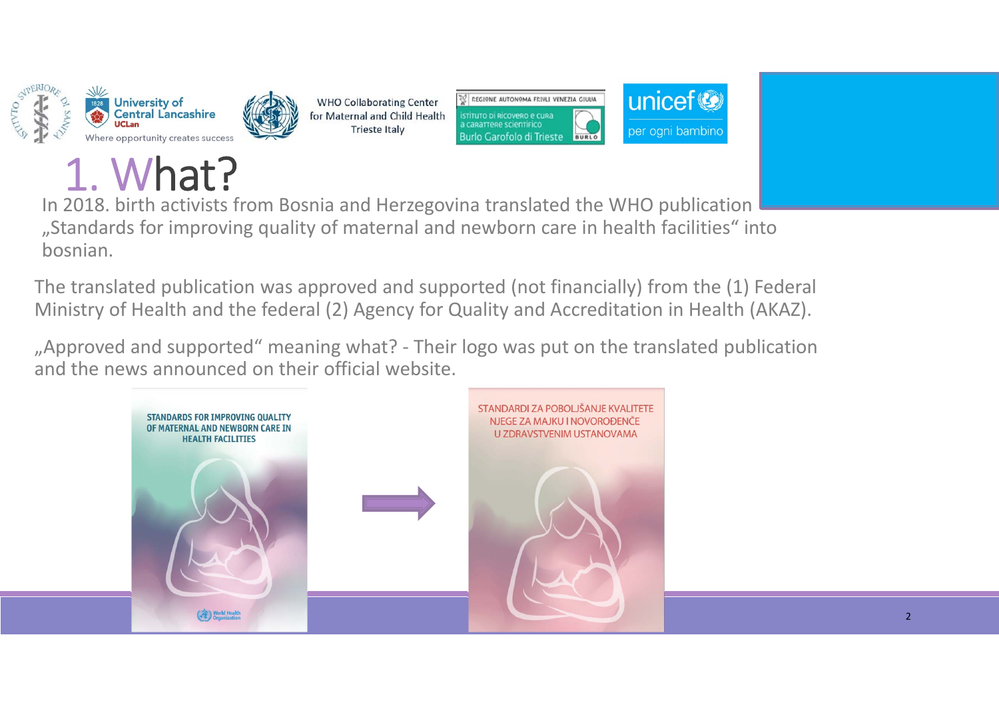

#### 1. What?

In 2018. birth activists from Bosnia and Herzegovina translated the WHO publication "Standards for improving quality of maternal and newborn care in health facilities" into bosnian.

**WHO Collaborating Center** 

for Maternal and Child Health

**Trieste Italy** 

The translated publication was approved and supported (not financially) from the (1) Federal Ministry of Health and the federal (2) Agency for Quality and Accreditation in Health (AKAZ).

unicef<sup>®</sup>

per ogni bambino

**REGIONE AUTONOMA FRIVLI VENEZIA GIULIA** 

**BURLO** 

stituto di Ricovero e cura **CARATTERE SCIENTIFICO** 

**Burlo Garofolo di Trieste** 

". Approved and supported" meaning what? - Their logo was put on the translated publication and the news announced on their official website.

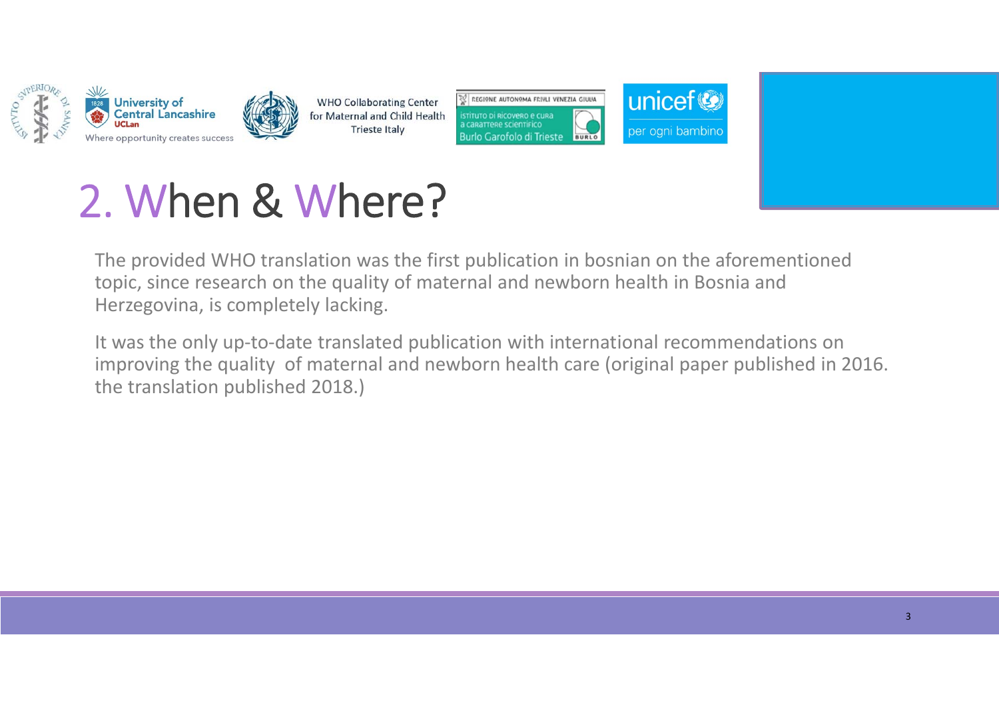







### 2. When & Where?

The provided WHO translation was the first publication in bosnian on the aforementioned topic, since research on the quality of maternal and newborn health in Bosnia and Herzegovina, is completely lacking.

It was the only up-to-date translated publication with international recommendations on improving the quality of maternal and newborn health care (original paper published in 2016. the translation published 2018.)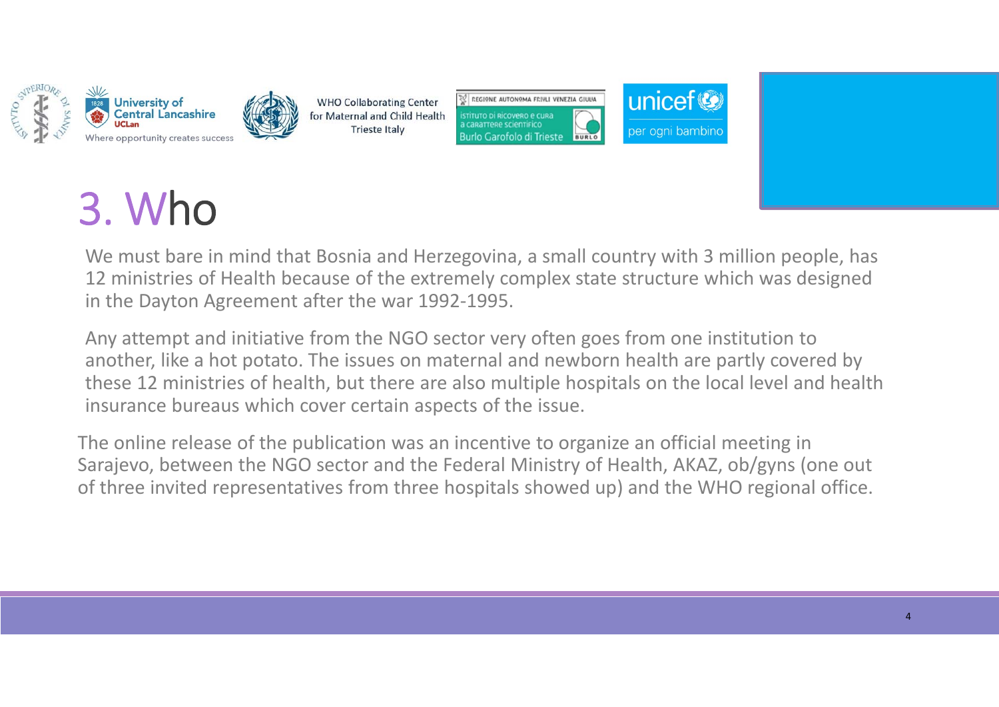





unicef<sup>®</sup>

per ogni bambin



We must bare in mind that Bosnia and Herzegovina, a small country with 3 million people, has 12 ministries of Health because of the extremely complex state structure which was designed in the Dayton Agreement after the war 1992‐1995.

Any attempt and initiative from the NGO sector very often goes from one institution to another, like a hot potato. The issues on maternal and newborn health are partly covered by these 12 ministries of health, but there are also multiple hospitals on the local level and health insurance bureaus which cover certain aspects of the issue.

The online release of the publication was an incentive to organize an official meeting in Sarajevo, between the NGO sector and the Federal Ministry of Health, AKAZ, ob/gyns (one out of three invited representatives from three hospitals showed up) and the WHO regional office.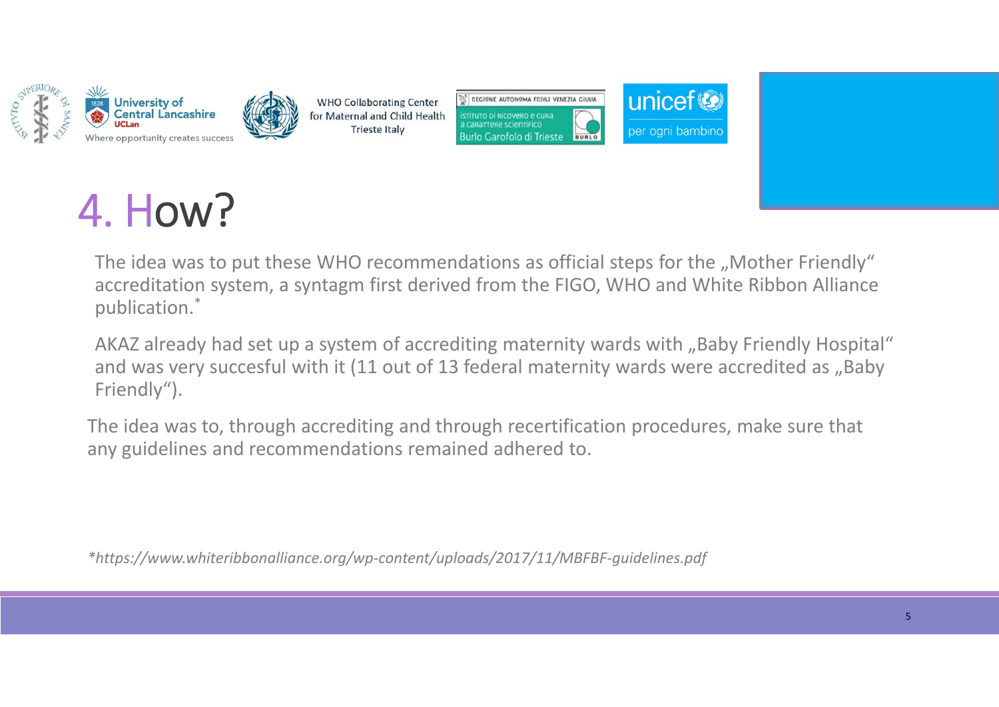







# 4. How?

The idea was to put these WHO recommendations as official steps for the "Mother Friendly" accreditation system, a syntagm first derived from the FIGO, WHO and White Ribbon Alliance publication.\*

AKAZ already had set up a system of accrediting maternity wards with "Baby Friendly Hospital" and was very succesful with it (11 out of 13 federal maternity wards were accredited as "Baby Friendly").

The idea was to, through accrediting and through recertification procedures, make sure that any guidelines and recommendations remained adhered to.

*\*https://www.whiteribbonalliance.org/wp‐content/uploads/2017/11/MBFBF‐guidelines.pdf*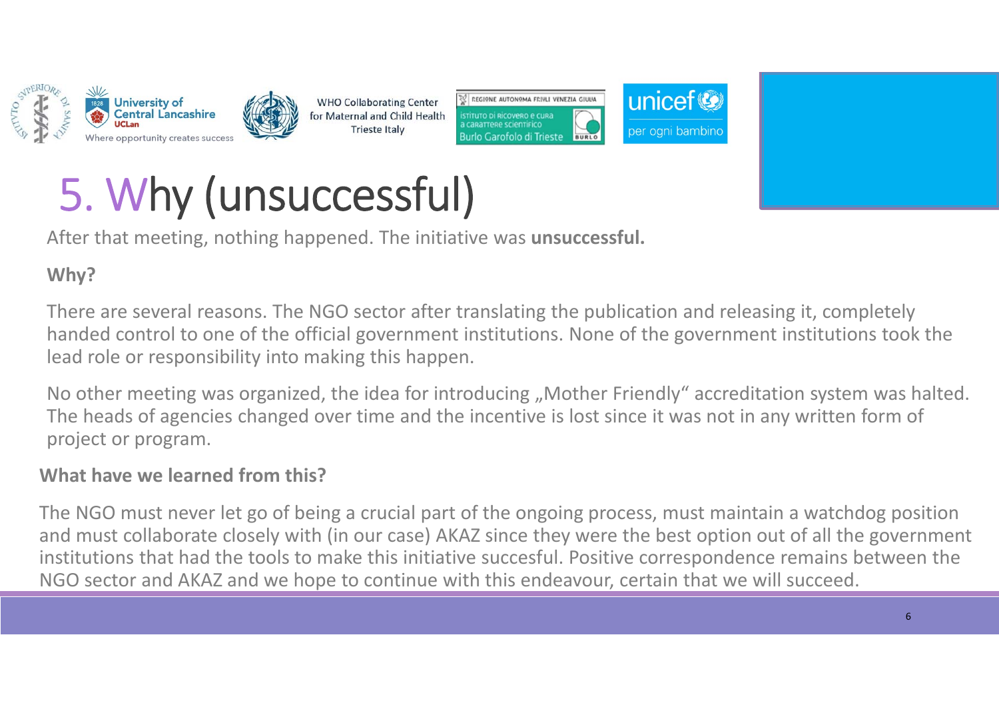



**REGIONE AUTONOMA FRIVLI VENEZIA GIULIA** TÍTUTO DI RICOVARO A CURA Burlo Garofolo di Trieste **BURLO** 



# 5. Why (unsuccessful)

After that meeting, nothing happened. The initiative was **unsuccessful.** 

#### **Why?**

There are several reasons. The NGO sector after translating the publication and releasing it, completely handed control to one of the official government institutions. None of the government institutions took the lead role or responsibility into making this happen.

No other meeting was organized, the idea for introducing "Mother Friendly" accreditation system was halted. The heads of agencies changed over time and the incentive is lost since it was not in any written form of project or program.

#### **What have we learned from this?**

The NGO must never let go of being a crucial part of the ongoing process, must maintain a watchdog position and must collaborate closely with (in our case) AKAZ since they were the best option out of all the government institutions that had the tools to make this initiative succesful. Positive correspondence remains between the NGO sector and AKAZ and we hope to continue with this endeavour, certain that we will succeed.